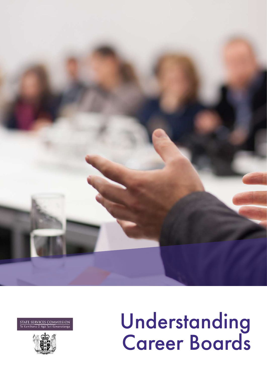

**COMMISSION SERVICES** .<br>Käwanatang:



# Understanding Career Boards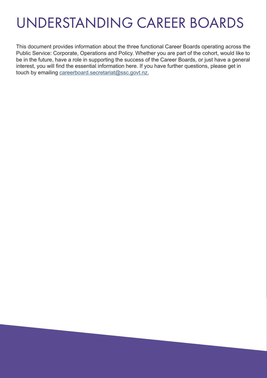### UNDERSTANDING CAREER BOARDS

This document provides information about the three functional Career Boards operating across the Public Service: Corporate, Operations and Policy. Whether you are part of the cohort, would like to be in the future, have a role in supporting the success of the Career Boards, or just have a general interest, you will find the essential information here. If you have further questions, please get in touch by emailing [careerboard.secretariat@ssc.govt.nz.](mailto:careerboard.secretariat%40ssc.govt.nz.?subject=Career%20Board%20Enquiry)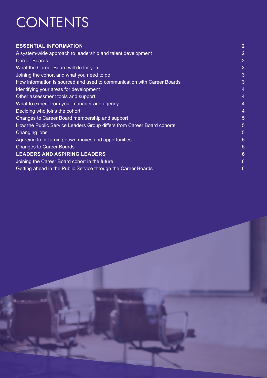# CONTENTS

| <b>ESSENTIAL INFORMATION</b>                                            | $\overline{2}$  |
|-------------------------------------------------------------------------|-----------------|
| A system-wide approach to leadership and talent development             | $\overline{2}$  |
| <b>Career Boards</b>                                                    | $\overline{2}$  |
| What the Career Board will do for you                                   | 3               |
| Joining the cohort and what you need to do                              | 3               |
| How information is sourced and used to communication with Career Boards | 3               |
| Identifying your areas for development                                  | 4               |
| Other assessment tools and support                                      | 4               |
| What to expect from your manager and agency                             | 4               |
| Deciding who joins the cohort                                           | 4               |
| Changes to Career Board membership and support                          | 5               |
| How the Public Service Leaders Group differs from Career Board cohorts  | 5               |
| Changing jobs                                                           | 5               |
| Agreeing to or turning down moves and opportunities                     | 5               |
| <b>Changes to Career Boards</b>                                         | 5               |
| <b>LEADERS AND ASPIRING LEADERS</b>                                     | $6\phantom{1}6$ |
| Joining the Career Board cohort in the future                           | $6\phantom{1}6$ |
| Getting ahead in the Public Service through the Career Boards           | 6               |

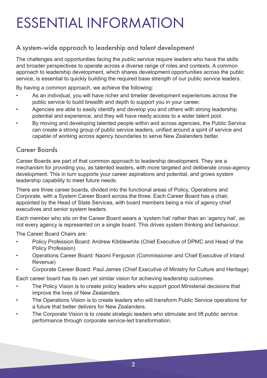# ESSENTIAL INFORMATION

#### A system-wide approach to leadership and talent development

The challenges and opportunities facing the public service require leaders who have the skills and broader perspectives to operate across a diverse range of roles and contexts. A common approach to leadership development, which shares development opportunities across the public service, is essential to quickly building the required base strength of our public service leaders.

By having a common approach, we achieve the following:

- As an individual, you will have richer and timelier development experiences across the public service to build breadth and depth to support you in your career.
- Agencies are able to easily identify and develop you and others with strong leadership potential and experience, and they will have ready access to a wider talent pool.
- By moving and developing talented people within and across agencies, the Public Service can create a strong group of public service leaders, unified around a spirit of service and capable of working across agency boundaries to serve New Zealanders better.

#### Career Boards

Career Boards are part of that common approach to leadership development. They are a mechanism for providing you, as talented leaders, with more targeted and deliberate cross-agency development. This in turn supports your career aspirations and potential, and grows system leadership capability to meet future needs.

There are three career boards, divided into the functional areas of Policy, Operations and Corporate, with a System Career Board across the three. Each Career Board has a chair, appointed by the Head of State Services, with board members being a mix of agency chief executives and senior system leaders.

Each member who sits on the Career Board wears a 'system hat' rather than an 'agency hat', as not every agency is represented on a single board. This drives system thinking and behaviour.

The Career Board Chairs are:

- Policy Profession Board: Andrew Kibblewhite (Chief Executive of DPMC and Head of the Policy Profession)
- Operations Career Board: Naomi Ferguson (Commissioner and Chief Executive of Inland Revenue)
- Corporate Career Board: Paul James (Chief Executive of Ministry for Culture and Heritage)

Each career board has its own yet similar vision for achieving leadership outcomes.

- The Policy Vision is to create policy leaders who support good Ministerial decisions that improve the lives of New Zealanders.
- The Operations Vision is to create leaders who will transform Public Service operations for a future that better delivers for New Zealanders.
- The Corporate Vision is to create strategic leaders who stimulate and lift public service performance through corporate service-led transformation.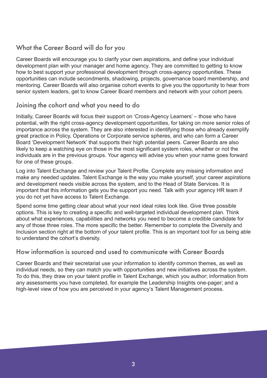#### What the Career Board will do for you

Career Boards will encourage you to clarify your own aspirations, and define your individual development plan with your manager and home agency. They are committed to getting to know how to best support your professional development through cross-agency opportunities. These opportunities can include secondments, shadowing, projects, governance board membership, and mentoring. Career Boards will also organise cohort events to give you the opportunity to hear from senior system leaders, get to know Career Board members and network with your cohort peers.

#### Joining the cohort and what you need to do

Initially, Career Boards will focus their support on 'Cross-Agency Learners' – those who have potential, with the right cross-agency development opportunities, for taking on more senior roles of importance across the system. They are also interested in identifying those who already exemplify great practice in Policy, Operations or Corporate service spheres, and who can form a Career Board 'Development Network' that supports their high potential peers. Career Boards are also likely to keep a watching eye on those in the most significant system roles, whether or not the individuals are in the previous groups. Your agency will advise you when your name goes forward for one of these groups.

Log into Talent Exchange and review your Talent Profile. Complete any missing information and make any needed updates. Talent Exchange is the way you make yourself, your career aspirations and development needs visible across the system, and to the Head of State Services. It is important that this information gets you the support you need. Talk with your agency HR team if you do not yet have access to Talent Exchange.

Spend some time getting clear about what your next ideal roles look like. Give three possible options. This is key to creating a specific and well-targeted individual development plan. Think about what experiences, capabilities and networks you need to become a credible candidate for any of those three roles. The more specific the better. Remember to complete the Diversity and Inclusion section right at the bottom of your talent profile. This is an important tool for us being able to understand the cohort's diversity.

#### How information is sourced and used to communicate with Career Boards

Career Boards and their secretariat use your information to identify common themes, as well as individual needs, so they can match you with opportunities and new initiatives across the system. To do this, they draw on your talent profile in Talent Exchange, which you author; information from any assessments you have completed, for example the Leadership Insights one-pager; and a high-level view of how you are perceived in your agency's Talent Management process.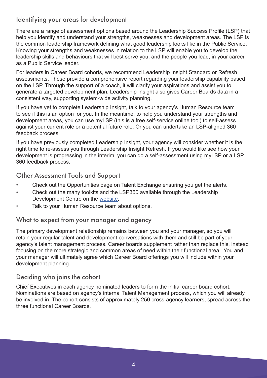#### Identifying your areas for development

There are a range of assessment options based around the Leadership Success Profile (LSP) that help you identify and understand your strengths, weaknesses and development areas. The LSP is the common leadership framework defining what good leadership looks like in the Public Service. Knowing your strengths and weaknesses in relation to the LSP will enable you to develop the leadership skills and behaviours that will best serve you, and the people you lead, in your career as a Public Service leader.

For leaders in Career Board cohorts, we recommend Leadership Insight Standard or Refresh assessments. These provide a comprehensive report regarding your leadership capability based on the LSP. Through the support of a coach, it will clarify your aspirations and assist you to generate a targeted development plan. Leadership Insight also gives Career Boards data in a consistent way, supporting system-wide activity planning.

If you have yet to complete Leadership Insight, talk to your agency's Human Resource team to see if this is an option for you. In the meantime, to help you understand your strengths and development areas, you can use myLSP (this is a free self-service online tool) to self-assess against your current role or a potential future role. Or you can undertake an LSP-aligned 360 feedback process.

If you have previously completed Leadership Insight, your agency will consider whether it is the right time to re-assess you through Leadership Insight Refresh. If you would like see how your development is progressing in the interim, you can do a self-assessment using myLSP or a LSP 360 feedback process.

#### Other Assessment Tools and Support

- Check out the Opportunities page on Talent Exchange ensuring you get the alerts.
- Check out the many toolkits and the LSP360 available through the Leadership Development Centre on the [website.](http://www.LDC.govt.nz)
- Talk to your Human Resource team about options.

#### What to expect from your manager and agency

The primary development relationship remains between you and your manager, so you will retain your regular talent and development conversations with them and still be part of your agency's talent management process. Career boards supplement rather than replace this, instead focusing on the more strategic and common areas of need within their functional area. You and your manager will ultimately agree which Career Board offerings you will include within your development planning.

#### Deciding who joins the cohort

Chief Executives in each agency nominated leaders to form the initial career board cohort. Nominations are based on agency's internal Talent Management process, which you will already be involved in. The cohort consists of approximately 250 cross-agency learners, spread across the three functional Career Boards.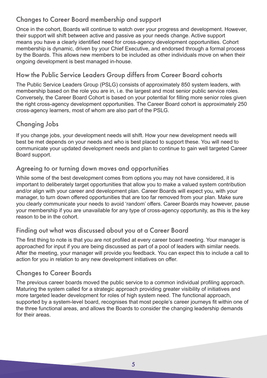#### Changes to Career Board membership and support

Once in the cohort, Boards will continue to watch over your progress and development. However, their support will shift between active and passive as your needs change. Active support means you have a clearly identified need for cross-agency development opportunities. Cohort membership is dynamic, driven by your Chief Executive, and endorsed through a formal process by the Boards. This allows new members to be included as other individuals move on when their ongoing development is best managed in-house.

#### How the Public Service Leaders Group differs from Career Board cohorts

The Public Service Leaders Group (PSLG) consists of approximately 850 system leaders, with membership based on the role you are in, i.e. the largest and most senior public service roles. Conversely, the Career Board Cohort is based on your potential for filling more senior roles given the right cross-agency development opportunities. The Career Board cohort is approximately 250 cross-agency learners, most of whom are also part of the PSLG.

#### Changing Jobs

If you change jobs, your development needs will shift. How your new development needs will best be met depends on your needs and who is best placed to support these. You will need to communicate your updated development needs and plan to continue to gain well targeted Career Board support.

#### Agreeing to or turning down moves and opportunities

While some of the best development comes from options you may not have considered, it is important to deliberately target opportunities that allow you to make a valued system contribution and/or align with your career and development plan. Career Boards will expect you, with your manager, to turn down offered opportunities that are too far removed from your plan. Make sure you clearly communicate your needs to avoid 'random' offers. Career Boards may however, pause your membership if you are unavailable for any type of cross-agency opportunity, as this is the key reason to be in the cohort.

#### Finding out what was discussed about you at a Career Board

The first thing to note is that you are not profiled at every career board meeting. Your manager is approached for input if you are being discussed as part of a pool of leaders with similar needs. After the meeting, your manager will provide you feedback. You can expect this to include a call to action for you in relation to any new development initiatives on offer.

#### Changes to Career Boards

The previous career boards moved the public service to a common individual profiling approach. Maturing the system called for a strategic approach providing greater visibility of initiatives and more targeted leader development for roles of high system need. The functional approach, supported by a system-level board, recognises that most people's career journeys fit within one of the three functional areas, and allows the Boards to consider the changing leadership demands for their areas.